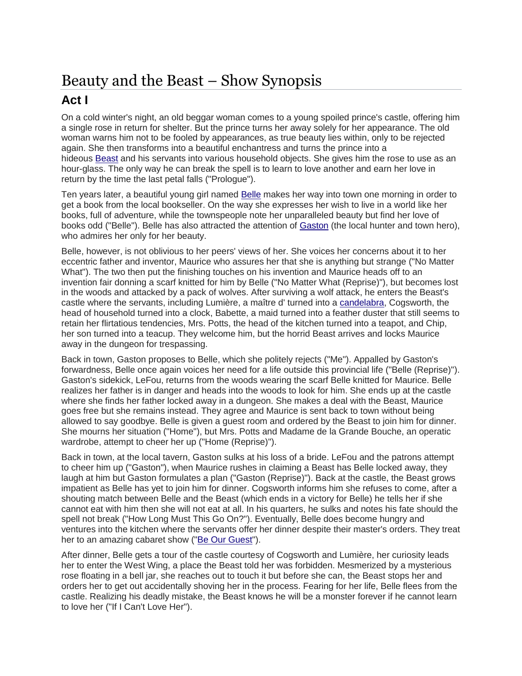## Beauty and the Beast – Show Synopsis

## **Act I**

On a cold winter's night, an old beggar woman comes to a young spoiled prince's castle, offering him a single rose in return for shelter. But the prince turns her away solely for her appearance. The old woman warns him not to be fooled by appearances, as true beauty lies within, only to be rejected again. She then transforms into a beautiful enchantress and turns the prince into a hideous [Beast](https://en.wikipedia.org/wiki/Beast_(Disney)) and his servants into various household objects. She gives him the rose to use as an hour-glass. The only way he can break the spell is to learn to love another and earn her love in return by the time the last petal falls ("Prologue").

Ten years later, a beautiful young girl named [Belle](https://en.wikipedia.org/wiki/Belle_(Disney)) makes her way into town one morning in order to get a book from the local bookseller. On the way she expresses her wish to live in a world like her books, full of adventure, while the townspeople note her unparalleled beauty but find her love of books odd ("Belle"). Belle has also attracted the attention of [Gaston](https://en.wikipedia.org/wiki/Gaston_(Disney)) (the local hunter and town hero), who admires her only for her beauty.

Belle, however, is not oblivious to her peers' views of her. She voices her concerns about it to her eccentric father and inventor, Maurice who assures her that she is anything but strange ("No Matter What"). The two then put the finishing touches on his invention and Maurice heads off to an invention fair donning a scarf knitted for him by Belle ("No Matter What (Reprise)"), but becomes lost in the woods and attacked by a pack of wolves. After surviving a wolf attack, he enters the Beast's castle where the servants, including Lumière, a maître d' turned into a [candelabra,](https://en.wikipedia.org/wiki/Candelabra) Cogsworth, the head of household turned into a clock, Babette, a maid turned into a feather duster that still seems to retain her flirtatious tendencies, Mrs. Potts, the head of the kitchen turned into a teapot, and Chip, her son turned into a teacup. They welcome him, but the horrid Beast arrives and locks Maurice away in the dungeon for trespassing.

Back in town, Gaston proposes to Belle, which she politely rejects ("Me"). Appalled by Gaston's forwardness, Belle once again voices her need for a life outside this provincial life ("Belle (Reprise)"). Gaston's sidekick, LeFou, returns from the woods wearing the scarf Belle knitted for Maurice. Belle realizes her father is in danger and heads into the woods to look for him. She ends up at the castle where she finds her father locked away in a dungeon. She makes a deal with the Beast, Maurice goes free but she remains instead. They agree and Maurice is sent back to town without being allowed to say goodbye. Belle is given a guest room and ordered by the Beast to join him for dinner. She mourns her situation ("Home"), but Mrs. Potts and Madame de la Grande Bouche, an operatic wardrobe, attempt to cheer her up ("Home (Reprise)").

Back in town, at the local tavern, Gaston sulks at his loss of a bride. LeFou and the patrons attempt to cheer him up ("Gaston"), when Maurice rushes in claiming a Beast has Belle locked away, they laugh at him but Gaston formulates a plan ("Gaston (Reprise)"). Back at the castle, the Beast grows impatient as Belle has yet to join him for dinner. Cogsworth informs him she refuses to come, after a shouting match between Belle and the Beast (which ends in a victory for Belle) he tells her if she cannot eat with him then she will not eat at all. In his quarters, he sulks and notes his fate should the spell not break ("How Long Must This Go On?"). Eventually, Belle does become hungry and ventures into the kitchen where the servants offer her dinner despite their master's orders. They treat her to an amazing cabaret show (["Be Our Guest"](https://en.wikipedia.org/wiki/Be_Our_Guest)).

After dinner, Belle gets a tour of the castle courtesy of Cogsworth and Lumière, her curiosity leads her to enter the West Wing, a place the Beast told her was forbidden. Mesmerized by a mysterious rose floating in a bell jar, she reaches out to touch it but before she can, the Beast stops her and orders her to get out accidentally shoving her in the process. Fearing for her life, Belle flees from the castle. Realizing his deadly mistake, the Beast knows he will be a monster forever if he cannot learn to love her ("If I Can't Love Her").